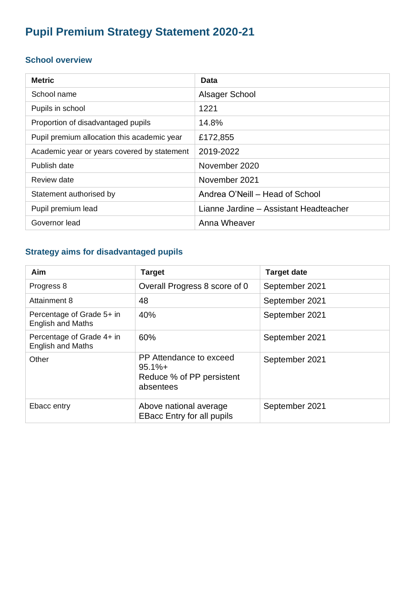# **Pupil Premium Strategy Statement 2020-21**

#### **School overview**

| <b>Metric</b>                               | <b>Data</b>                            |
|---------------------------------------------|----------------------------------------|
| School name                                 | Alsager School                         |
| Pupils in school                            | 1221                                   |
| Proportion of disadvantaged pupils          | 14.8%                                  |
| Pupil premium allocation this academic year | £172,855                               |
| Academic year or years covered by statement | 2019-2022                              |
| Publish date                                | November 2020                          |
| Review date                                 | November 2021                          |
| Statement authorised by                     | Andrea O'Neill - Head of School        |
| Pupil premium lead                          | Lianne Jardine - Assistant Headteacher |
| Governor lead                               | Anna Wheaver                           |

## **Strategy aims for disadvantaged pupils**

| Aim                                                   | <b>Target</b>                                                                  | <b>Target date</b> |
|-------------------------------------------------------|--------------------------------------------------------------------------------|--------------------|
| Progress 8                                            | Overall Progress 8 score of 0                                                  | September 2021     |
| <b>Attainment 8</b>                                   | 48                                                                             | September 2021     |
| Percentage of Grade 5+ in<br><b>English and Maths</b> | 40%                                                                            | September 2021     |
| Percentage of Grade 4+ in<br><b>English and Maths</b> | 60%                                                                            | September 2021     |
| Other                                                 | PP Attendance to exceed<br>$95.1% +$<br>Reduce % of PP persistent<br>absentees | September 2021     |
| Ebacc entry                                           | Above national average<br><b>EBacc Entry for all pupils</b>                    | September 2021     |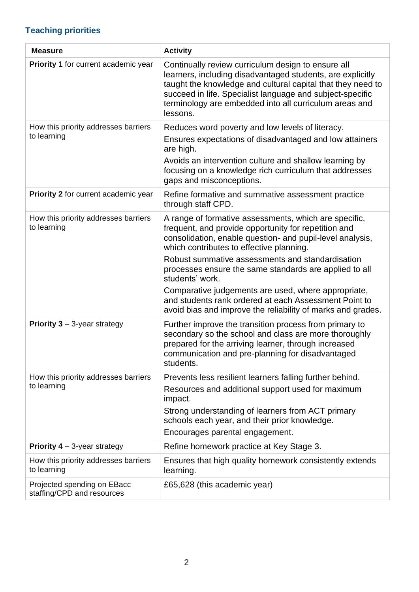# **Teaching priorities**

| <b>Measure</b>                                            | <b>Activity</b>                                                                                                                                                                                                                                                                                                                                                                                                                                                                                                                        |
|-----------------------------------------------------------|----------------------------------------------------------------------------------------------------------------------------------------------------------------------------------------------------------------------------------------------------------------------------------------------------------------------------------------------------------------------------------------------------------------------------------------------------------------------------------------------------------------------------------------|
| Priority 1 for current academic year                      | Continually review curriculum design to ensure all<br>learners, including disadvantaged students, are explicitly<br>taught the knowledge and cultural capital that they need to<br>succeed in life. Specialist language and subject-specific<br>terminology are embedded into all curriculum areas and<br>lessons.                                                                                                                                                                                                                     |
| How this priority addresses barriers<br>to learning       | Reduces word poverty and low levels of literacy.<br>Ensures expectations of disadvantaged and low attainers<br>are high.<br>Avoids an intervention culture and shallow learning by<br>focusing on a knowledge rich curriculum that addresses<br>gaps and misconceptions.                                                                                                                                                                                                                                                               |
| Priority 2 for current academic year                      | Refine formative and summative assessment practice<br>through staff CPD.                                                                                                                                                                                                                                                                                                                                                                                                                                                               |
| How this priority addresses barriers<br>to learning       | A range of formative assessments, which are specific,<br>frequent, and provide opportunity for repetition and<br>consolidation, enable question- and pupil-level analysis,<br>which contributes to effective planning.<br>Robust summative assessments and standardisation<br>processes ensure the same standards are applied to all<br>students' work.<br>Comparative judgements are used, where appropriate,<br>and students rank ordered at each Assessment Point to<br>avoid bias and improve the reliability of marks and grades. |
| <b>Priority 3</b> $-$ 3-year strategy                     | Further improve the transition process from primary to<br>secondary so the school and class are more thoroughly<br>prepared for the arriving learner, through increased<br>communication and pre-planning for disadvantaged<br>students.                                                                                                                                                                                                                                                                                               |
| How this priority addresses barriers<br>to learning       | Prevents less resilient learners falling further behind.<br>Resources and additional support used for maximum<br>impact.<br>Strong understanding of learners from ACT primary<br>schools each year, and their prior knowledge.<br>Encourages parental engagement.                                                                                                                                                                                                                                                                      |
| <b>Priority 4</b> $-$ 3-year strategy                     | Refine homework practice at Key Stage 3.                                                                                                                                                                                                                                                                                                                                                                                                                                                                                               |
| How this priority addresses barriers<br>to learning       | Ensures that high quality homework consistently extends<br>learning.                                                                                                                                                                                                                                                                                                                                                                                                                                                                   |
| Projected spending on EBacc<br>staffing/CPD and resources | £65,628 (this academic year)                                                                                                                                                                                                                                                                                                                                                                                                                                                                                                           |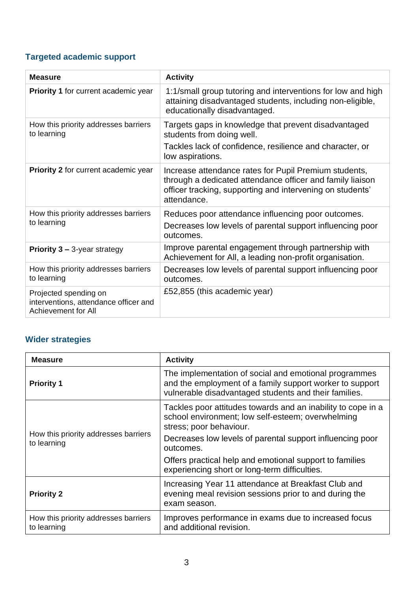## **Targeted academic support**

| <b>Measure</b>                                                                        | <b>Activity</b>                                                                                                                                                                                |
|---------------------------------------------------------------------------------------|------------------------------------------------------------------------------------------------------------------------------------------------------------------------------------------------|
| <b>Priority 1 for current academic year</b>                                           | 1:1/small group tutoring and interventions for low and high<br>attaining disadvantaged students, including non-eligible,<br>educationally disadvantaged.                                       |
| How this priority addresses barriers<br>to learning                                   | Targets gaps in knowledge that prevent disadvantaged<br>students from doing well.<br>Tackles lack of confidence, resilience and character, or<br>low aspirations.                              |
| Priority 2 for current academic year                                                  | Increase attendance rates for Pupil Premium students,<br>through a dedicated attendance officer and family liaison<br>officer tracking, supporting and intervening on students'<br>attendance. |
| How this priority addresses barriers<br>to learning                                   | Reduces poor attendance influencing poor outcomes.<br>Decreases low levels of parental support influencing poor<br>outcomes.                                                                   |
| <b>Priority 3 – 3-year strategy</b>                                                   | Improve parental engagement through partnership with<br>Achievement for All, a leading non-profit organisation.                                                                                |
| How this priority addresses barriers<br>to learning                                   | Decreases low levels of parental support influencing poor<br>outcomes.                                                                                                                         |
| Projected spending on<br>interventions, attendance officer and<br>Achievement for All | £52,855 (this academic year)                                                                                                                                                                   |

## **Wider strategies**

| <b>Measure</b>                                      | <b>Activity</b>                                                                                                                                                            |  |
|-----------------------------------------------------|----------------------------------------------------------------------------------------------------------------------------------------------------------------------------|--|
| <b>Priority 1</b>                                   | The implementation of social and emotional programmes<br>and the employment of a family support worker to support<br>vulnerable disadvantaged students and their families. |  |
| How this priority addresses barriers<br>to learning | Tackles poor attitudes towards and an inability to cope in a<br>school environment; low self-esteem; overwhelming<br>stress; poor behaviour.                               |  |
|                                                     | Decreases low levels of parental support influencing poor<br>outcomes.                                                                                                     |  |
|                                                     | Offers practical help and emotional support to families<br>experiencing short or long-term difficulties.                                                                   |  |
| <b>Priority 2</b>                                   | Increasing Year 11 attendance at Breakfast Club and<br>evening meal revision sessions prior to and during the<br>exam season.                                              |  |
| How this priority addresses barriers<br>to learning | Improves performance in exams due to increased focus<br>and additional revision.                                                                                           |  |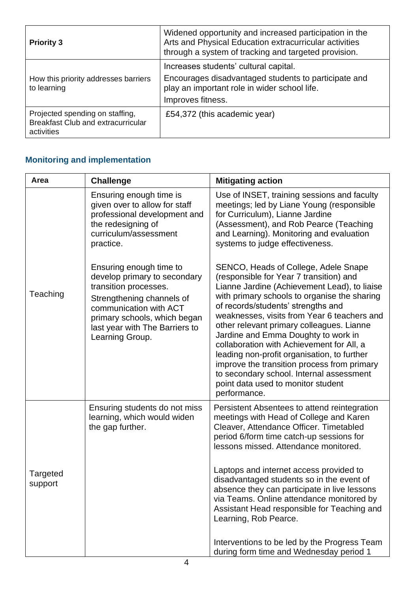| <b>Priority 3</b>                                                                          | Widened opportunity and increased participation in the<br>Arts and Physical Education extracurricular activities<br>through a system of tracking and targeted provision. |
|--------------------------------------------------------------------------------------------|--------------------------------------------------------------------------------------------------------------------------------------------------------------------------|
| How this priority addresses barriers<br>to learning                                        | Increases students' cultural capital.<br>Encourages disadvantaged students to participate and<br>play an important role in wider school life.<br>Improves fitness.       |
| Projected spending on staffing,<br><b>Breakfast Club and extracurricular</b><br>activities | £54,372 (this academic year)                                                                                                                                             |

## **Monitoring and implementation**

| Area                       | <b>Challenge</b>                                                                                                                                                                                                             | <b>Mitigating action</b>                                                                                                                                                                                                                                                                                                                                                                                                                                                                                                                                                                              |
|----------------------------|------------------------------------------------------------------------------------------------------------------------------------------------------------------------------------------------------------------------------|-------------------------------------------------------------------------------------------------------------------------------------------------------------------------------------------------------------------------------------------------------------------------------------------------------------------------------------------------------------------------------------------------------------------------------------------------------------------------------------------------------------------------------------------------------------------------------------------------------|
|                            | Ensuring enough time is<br>given over to allow for staff<br>professional development and<br>the redesigning of<br>curriculum/assessment<br>practice.                                                                         | Use of INSET, training sessions and faculty<br>meetings; led by Liane Young (responsible<br>for Curriculum), Lianne Jardine<br>(Assessment), and Rob Pearce (Teaching<br>and Learning). Monitoring and evaluation<br>systems to judge effectiveness.                                                                                                                                                                                                                                                                                                                                                  |
| Teaching                   | Ensuring enough time to<br>develop primary to secondary<br>transition processes.<br>Strengthening channels of<br>communication with ACT<br>primary schools, which began<br>last year with The Barriers to<br>Learning Group. | SENCO, Heads of College, Adele Snape<br>(responsible for Year 7 transition) and<br>Lianne Jardine (Achievement Lead), to liaise<br>with primary schools to organise the sharing<br>of records/students' strengths and<br>weaknesses, visits from Year 6 teachers and<br>other relevant primary colleagues. Lianne<br>Jardine and Emma Doughty to work in<br>collaboration with Achievement for All, a<br>leading non-profit organisation, to further<br>improve the transition process from primary<br>to secondary school. Internal assessment<br>point data used to monitor student<br>performance. |
|                            | Ensuring students do not miss<br>learning, which would widen<br>the gap further.                                                                                                                                             | Persistent Absentees to attend reintegration<br>meetings with Head of College and Karen<br>Cleaver, Attendance Officer. Timetabled<br>period 6/form time catch-up sessions for<br>lessons missed. Attendance monitored.                                                                                                                                                                                                                                                                                                                                                                               |
| <b>Targeted</b><br>support |                                                                                                                                                                                                                              | Laptops and internet access provided to<br>disadvantaged students so in the event of<br>absence they can participate in live lessons<br>via Teams. Online attendance monitored by<br>Assistant Head responsible for Teaching and<br>Learning, Rob Pearce.                                                                                                                                                                                                                                                                                                                                             |
|                            |                                                                                                                                                                                                                              | Interventions to be led by the Progress Team<br>during form time and Wednesday period 1                                                                                                                                                                                                                                                                                                                                                                                                                                                                                                               |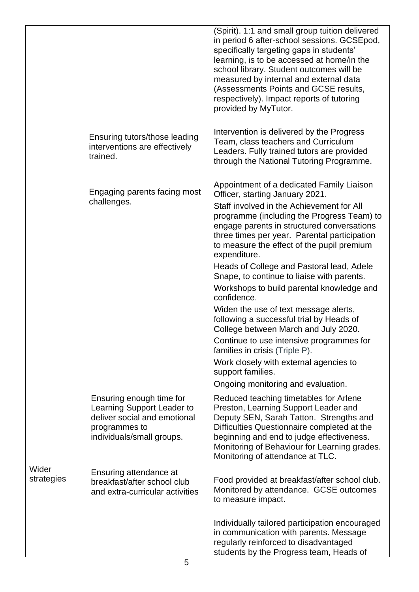|                     |                                                                                                                                      | (Spirit). 1:1 and small group tuition delivered<br>in period 6 after-school sessions. GCSEpod,<br>specifically targeting gaps in students'<br>learning, is to be accessed at home/in the<br>school library. Student outcomes will be<br>measured by internal and external data<br>(Assessments Points and GCSE results,<br>respectively). Impact reports of tutoring<br>provided by MyTutor.                                                                                                                                                                                                                                                                                                                                                                                                               |
|---------------------|--------------------------------------------------------------------------------------------------------------------------------------|------------------------------------------------------------------------------------------------------------------------------------------------------------------------------------------------------------------------------------------------------------------------------------------------------------------------------------------------------------------------------------------------------------------------------------------------------------------------------------------------------------------------------------------------------------------------------------------------------------------------------------------------------------------------------------------------------------------------------------------------------------------------------------------------------------|
|                     | Ensuring tutors/those leading<br>interventions are effectively<br>trained.                                                           | Intervention is delivered by the Progress<br>Team, class teachers and Curriculum<br>Leaders. Fully trained tutors are provided<br>through the National Tutoring Programme.                                                                                                                                                                                                                                                                                                                                                                                                                                                                                                                                                                                                                                 |
|                     | Engaging parents facing most<br>challenges.                                                                                          | Appointment of a dedicated Family Liaison<br>Officer, starting January 2021.<br>Staff involved in the Achievement for All<br>programme (including the Progress Team) to<br>engage parents in structured conversations<br>three times per year. Parental participation<br>to measure the effect of the pupil premium<br>expenditure.<br>Heads of College and Pastoral lead, Adele<br>Snape, to continue to liaise with parents.<br>Workshops to build parental knowledge and<br>confidence.<br>Widen the use of text message alerts,<br>following a successful trial by Heads of<br>College between March and July 2020.<br>Continue to use intensive programmes for<br>families in crisis (Triple P).<br>Work closely with external agencies to<br>support families.<br>Ongoing monitoring and evaluation. |
|                     | Ensuring enough time for<br>Learning Support Leader to<br>deliver social and emotional<br>programmes to<br>individuals/small groups. | Reduced teaching timetables for Arlene<br>Preston, Learning Support Leader and<br>Deputy SEN, Sarah Tatton. Strengths and<br>Difficulties Questionnaire completed at the<br>beginning and end to judge effectiveness.<br>Monitoring of Behaviour for Learning grades.<br>Monitoring of attendance at TLC.                                                                                                                                                                                                                                                                                                                                                                                                                                                                                                  |
| Wider<br>strategies | Ensuring attendance at<br>breakfast/after school club<br>and extra-curricular activities                                             | Food provided at breakfast/after school club.<br>Monitored by attendance. GCSE outcomes<br>to measure impact.                                                                                                                                                                                                                                                                                                                                                                                                                                                                                                                                                                                                                                                                                              |
|                     |                                                                                                                                      | Individually tailored participation encouraged<br>in communication with parents. Message<br>regularly reinforced to disadvantaged<br>students by the Progress team, Heads of                                                                                                                                                                                                                                                                                                                                                                                                                                                                                                                                                                                                                               |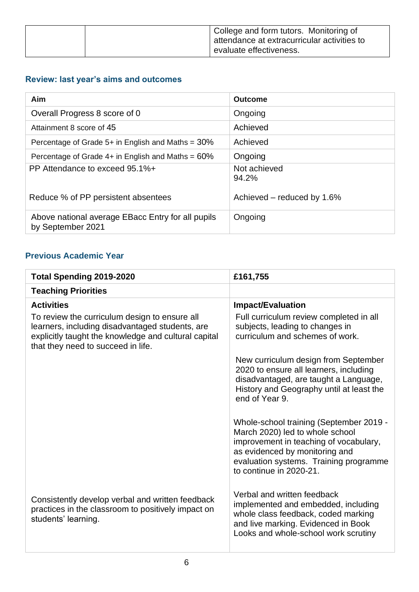|  | College and form tutors. Monitoring of<br>attendance at extracurricular activities to |
|--|---------------------------------------------------------------------------------------|
|  | evaluate effectiveness.                                                               |

## **Review: last year's aims and outcomes**

| Aim                                                                    | <b>Outcome</b>             |
|------------------------------------------------------------------------|----------------------------|
| Overall Progress 8 score of 0                                          | Ongoing                    |
| Attainment 8 score of 45                                               | Achieved                   |
| Percentage of Grade $5+$ in English and Maths = $30\%$                 | Achieved                   |
| Percentage of Grade $4+$ in English and Maths = $60\%$                 | Ongoing                    |
| PP Attendance to exceed 95.1%+                                         | Not achieved<br>94.2%      |
| Reduce % of PP persistent absentees                                    | Achieved – reduced by 1.6% |
| Above national average EBacc Entry for all pupils<br>by September 2021 | Ongoing                    |

#### **Previous Academic Year**

| <b>Total Spending 2019-2020</b>                                                                                                                                                                | £161,755                                                                                                                                                                                                                    |
|------------------------------------------------------------------------------------------------------------------------------------------------------------------------------------------------|-----------------------------------------------------------------------------------------------------------------------------------------------------------------------------------------------------------------------------|
| <b>Teaching Priorities</b>                                                                                                                                                                     |                                                                                                                                                                                                                             |
| <b>Activities</b>                                                                                                                                                                              | <b>Impact/Evaluation</b>                                                                                                                                                                                                    |
| To review the curriculum design to ensure all<br>learners, including disadvantaged students, are<br>explicitly taught the knowledge and cultural capital<br>that they need to succeed in life. | Full curriculum review completed in all<br>subjects, leading to changes in<br>curriculum and schemes of work.                                                                                                               |
|                                                                                                                                                                                                | New curriculum design from September<br>2020 to ensure all learners, including<br>disadvantaged, are taught a Language,<br>History and Geography until at least the<br>end of Year 9.                                       |
|                                                                                                                                                                                                | Whole-school training (September 2019 -<br>March 2020) led to whole school<br>improvement in teaching of vocabulary,<br>as evidenced by monitoring and<br>evaluation systems. Training programme<br>to continue in 2020-21. |
| Consistently develop verbal and written feedback<br>practices in the classroom to positively impact on<br>students' learning.                                                                  | Verbal and written feedback<br>implemented and embedded, including<br>whole class feedback, coded marking<br>and live marking. Evidenced in Book<br>Looks and whole-school work scrutiny                                    |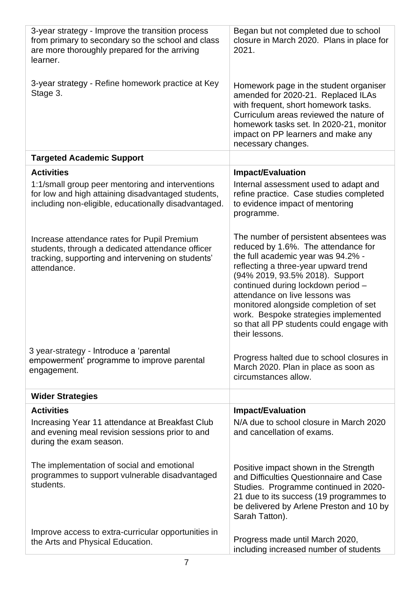| 3-year strategy - Improve the transition process<br>from primary to secondary so the school and class<br>are more thoroughly prepared for the arriving<br>learner.  | Began but not completed due to school<br>closure in March 2020. Plans in place for<br>2021.                                                                                                                                                                                                                                                                                                                            |
|---------------------------------------------------------------------------------------------------------------------------------------------------------------------|------------------------------------------------------------------------------------------------------------------------------------------------------------------------------------------------------------------------------------------------------------------------------------------------------------------------------------------------------------------------------------------------------------------------|
| 3-year strategy - Refine homework practice at Key<br>Stage 3.                                                                                                       | Homework page in the student organiser<br>amended for 2020-21. Replaced ILAs<br>with frequent, short homework tasks.<br>Curriculum areas reviewed the nature of<br>homework tasks set. In 2020-21, monitor<br>impact on PP learners and make any<br>necessary changes.                                                                                                                                                 |
| <b>Targeted Academic Support</b>                                                                                                                                    |                                                                                                                                                                                                                                                                                                                                                                                                                        |
| <b>Activities</b>                                                                                                                                                   | <b>Impact/Evaluation</b>                                                                                                                                                                                                                                                                                                                                                                                               |
| 1:1/small group peer mentoring and interventions<br>for low and high attaining disadvantaged students,<br>including non-eligible, educationally disadvantaged.      | Internal assessment used to adapt and<br>refine practice. Case studies completed<br>to evidence impact of mentoring<br>programme.                                                                                                                                                                                                                                                                                      |
| Increase attendance rates for Pupil Premium<br>students, through a dedicated attendance officer<br>tracking, supporting and intervening on students'<br>attendance. | The number of persistent absentees was<br>reduced by 1.6%. The attendance for<br>the full academic year was 94.2% -<br>reflecting a three-year upward trend<br>(94% 2019, 93.5% 2018). Support<br>continued during lockdown period -<br>attendance on live lessons was<br>monitored alongside completion of set<br>work. Bespoke strategies implemented<br>so that all PP students could engage with<br>their lessons. |
| 3 year-strategy - Introduce a 'parental<br>empowerment' programme to improve parental<br>engagement.                                                                | Progress halted due to school closures in<br>March 2020. Plan in place as soon as<br>circumstances allow.                                                                                                                                                                                                                                                                                                              |
| <b>Wider Strategies</b>                                                                                                                                             |                                                                                                                                                                                                                                                                                                                                                                                                                        |
| <b>Activities</b>                                                                                                                                                   | <b>Impact/Evaluation</b>                                                                                                                                                                                                                                                                                                                                                                                               |
| Increasing Year 11 attendance at Breakfast Club<br>and evening meal revision sessions prior to and<br>during the exam season.                                       | N/A due to school closure in March 2020<br>and cancellation of exams.                                                                                                                                                                                                                                                                                                                                                  |
| The implementation of social and emotional<br>programmes to support vulnerable disadvantaged<br>students.                                                           | Positive impact shown in the Strength<br>and Difficulties Questionnaire and Case<br>Studies. Programme continued in 2020-<br>21 due to its success (19 programmes to<br>be delivered by Arlene Preston and 10 by<br>Sarah Tatton).                                                                                                                                                                                     |
| Improve access to extra-curricular opportunities in<br>the Arts and Physical Education.                                                                             | Progress made until March 2020,<br>including increased number of students                                                                                                                                                                                                                                                                                                                                              |